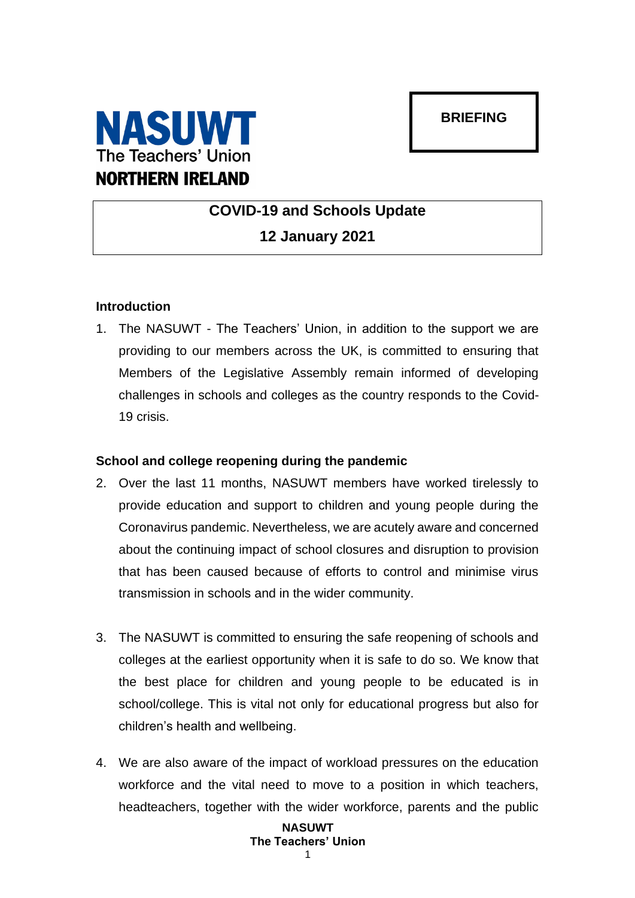## **BRIEFING**



# **COVID-19 and Schools Update 12 January 2021**

### **Introduction**

1. The NASUWT - The Teachers' Union, in addition to the support we are providing to our members across the UK, is committed to ensuring that Members of the Legislative Assembly remain informed of developing challenges in schools and colleges as the country responds to the Covid-19 crisis.

#### **School and college reopening during the pandemic**

- 2. Over the last 11 months, NASUWT members have worked tirelessly to provide education and support to children and young people during the Coronavirus pandemic. Nevertheless, we are acutely aware and concerned about the continuing impact of school closures and disruption to provision that has been caused because of efforts to control and minimise virus transmission in schools and in the wider community.
- 3. The NASUWT is committed to ensuring the safe reopening of schools and colleges at the earliest opportunity when it is safe to do so. We know that the best place for children and young people to be educated is in school/college. This is vital not only for educational progress but also for children's health and wellbeing.
- 4. We are also aware of the impact of workload pressures on the education workforce and the vital need to move to a position in which teachers, headteachers, together with the wider workforce, parents and the public

#### **NASUWT The Teachers' Union** 1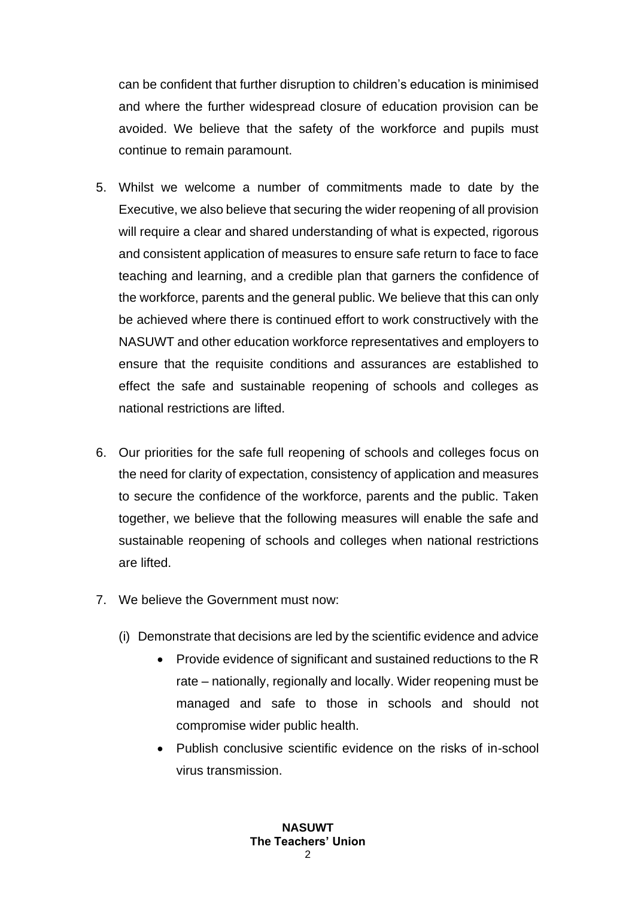can be confident that further disruption to children's education is minimised and where the further widespread closure of education provision can be avoided. We believe that the safety of the workforce and pupils must continue to remain paramount.

- 5. Whilst we welcome a number of commitments made to date by the Executive, we also believe that securing the wider reopening of all provision will require a clear and shared understanding of what is expected, rigorous and consistent application of measures to ensure safe return to face to face teaching and learning, and a credible plan that garners the confidence of the workforce, parents and the general public. We believe that this can only be achieved where there is continued effort to work constructively with the NASUWT and other education workforce representatives and employers to ensure that the requisite conditions and assurances are established to effect the safe and sustainable reopening of schools and colleges as national restrictions are lifted.
- 6. Our priorities for the safe full reopening of schools and colleges focus on the need for clarity of expectation, consistency of application and measures to secure the confidence of the workforce, parents and the public. Taken together, we believe that the following measures will enable the safe and sustainable reopening of schools and colleges when national restrictions are lifted.
- 7. We believe the Government must now:
	- (i) Demonstrate that decisions are led by the scientific evidence and advice
		- Provide evidence of significant and sustained reductions to the R rate – nationally, regionally and locally. Wider reopening must be managed and safe to those in schools and should not compromise wider public health.
		- Publish conclusive scientific evidence on the risks of in-school virus transmission.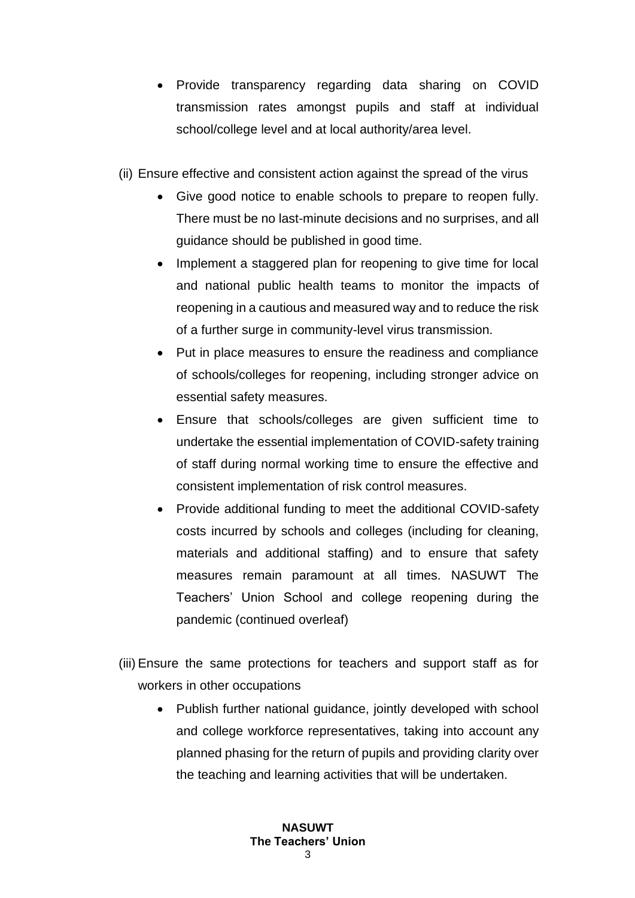- Provide transparency regarding data sharing on COVID transmission rates amongst pupils and staff at individual school/college level and at local authority/area level.
- (ii) Ensure effective and consistent action against the spread of the virus
	- Give good notice to enable schools to prepare to reopen fully. There must be no last-minute decisions and no surprises, and all guidance should be published in good time.
	- Implement a staggered plan for reopening to give time for local and national public health teams to monitor the impacts of reopening in a cautious and measured way and to reduce the risk of a further surge in community-level virus transmission.
	- Put in place measures to ensure the readiness and compliance of schools/colleges for reopening, including stronger advice on essential safety measures.
	- Ensure that schools/colleges are given sufficient time to undertake the essential implementation of COVID-safety training of staff during normal working time to ensure the effective and consistent implementation of risk control measures.
	- Provide additional funding to meet the additional COVID-safety costs incurred by schools and colleges (including for cleaning, materials and additional staffing) and to ensure that safety measures remain paramount at all times. NASUWT The Teachers' Union School and college reopening during the pandemic (continued overleaf)
- (iii) Ensure the same protections for teachers and support staff as for workers in other occupations
	- Publish further national guidance, jointly developed with school and college workforce representatives, taking into account any planned phasing for the return of pupils and providing clarity over the teaching and learning activities that will be undertaken.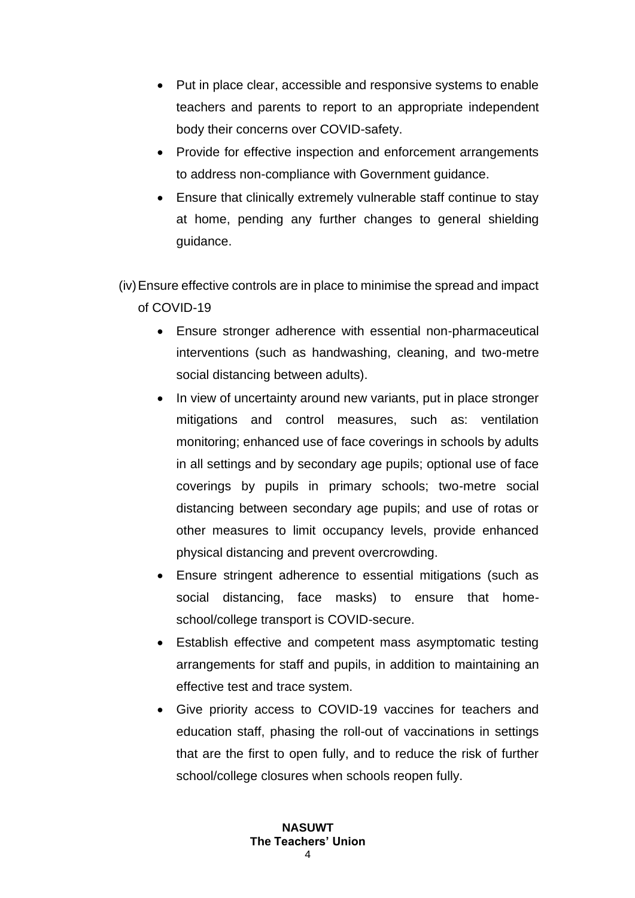- Put in place clear, accessible and responsive systems to enable teachers and parents to report to an appropriate independent body their concerns over COVID-safety.
- Provide for effective inspection and enforcement arrangements to address non-compliance with Government guidance.
- Ensure that clinically extremely vulnerable staff continue to stay at home, pending any further changes to general shielding guidance.
- (iv)Ensure effective controls are in place to minimise the spread and impact of COVID-19
	- Ensure stronger adherence with essential non-pharmaceutical interventions (such as handwashing, cleaning, and two-metre social distancing between adults).
	- In view of uncertainty around new variants, put in place stronger mitigations and control measures, such as: ventilation monitoring; enhanced use of face coverings in schools by adults in all settings and by secondary age pupils; optional use of face coverings by pupils in primary schools; two-metre social distancing between secondary age pupils; and use of rotas or other measures to limit occupancy levels, provide enhanced physical distancing and prevent overcrowding.
	- Ensure stringent adherence to essential mitigations (such as social distancing, face masks) to ensure that homeschool/college transport is COVID-secure.
	- Establish effective and competent mass asymptomatic testing arrangements for staff and pupils, in addition to maintaining an effective test and trace system.
	- Give priority access to COVID-19 vaccines for teachers and education staff, phasing the roll-out of vaccinations in settings that are the first to open fully, and to reduce the risk of further school/college closures when schools reopen fully.